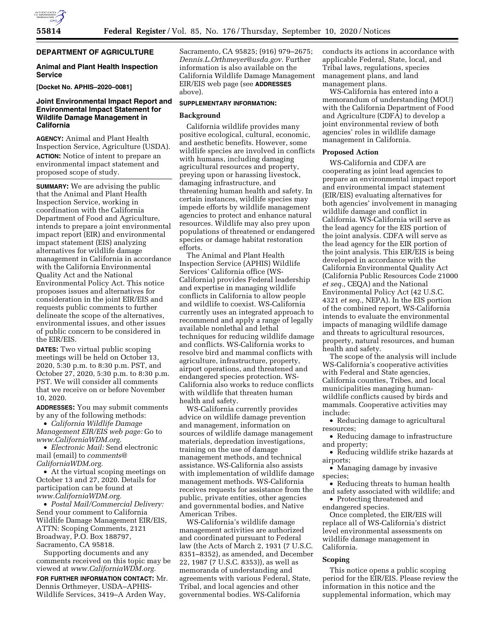# **DEPARTMENT OF AGRICULTURE**

### **Animal and Plant Health Inspection Service**

**[Docket No. APHIS–2020–0081]** 

## **Joint Environmental Impact Report and Environmental Impact Statement for Wildlife Damage Management in California**

**AGENCY:** Animal and Plant Health Inspection Service, Agriculture (USDA). **ACTION:** Notice of intent to prepare an environmental impact statement and proposed scope of study.

**SUMMARY:** We are advising the public that the Animal and Plant Health Inspection Service, working in coordination with the California Department of Food and Agriculture, intends to prepare a joint environmental impact report (EIR) and environmental impact statement (EIS) analyzing alternatives for wildlife damage management in California in accordance with the California Environmental Quality Act and the National Environmental Policy Act. This notice proposes issues and alternatives for consideration in the joint EIR/EIS and requests public comments to further delineate the scope of the alternatives, environmental issues, and other issues of public concern to be considered in the EIR/EIS.

**DATES:** Two virtual public scoping meetings will be held on October 13, 2020, 5:30 p.m. to 8:30 p.m. PST, and October 27, 2020, 5:30 p.m. to 8:30 p.m. PST. We will consider all comments that we receive on or before November 10, 2020.

**ADDRESSES:** You may submit comments by any of the following methods:

• *California Wildlife Damage Management EIR/EIS web page:* Go to *[www.CaliforniaWDM.org.](http://www.CaliforniaWDM.org)* 

• *Electronic Mail:* Send electronic mail (email) to *[comments@](mailto:comments@CaliforniaWDM.org) [CaliforniaWDM.org.](mailto:comments@CaliforniaWDM.org)* 

• At the virtual scoping meetings on October 13 and 27, 2020. Details for participation can be found at *[www.CaliforniaWDM.org.](http://www.CaliforniaWDM.org)* 

• *Postal Mail/Commercial Delivery:*  Send your comment to California Wildlife Damage Management EIR/EIS, ATTN: Scoping Comments, 2121 Broadway, P.O. Box 188797, Sacramento, CA 95818.

Supporting documents and any comments received on this topic may be viewed at *[www.CaliforniaWDM.org.](http://www.CaliforniaWDM.org)* 

**FOR FURTHER INFORMATION CONTACT:** Mr. Dennis Orthmeyer, USDA–APHIS-Wildlife Services, 3419–A Arden Way,

Sacramento, CA 95825; (916) 979–2675; *[Dennis.L.Orthmeyer@usda.gov.](mailto:Dennis.L.Orthmeyer@usda.gov)* Further information is also available on the California Wildlife Damage Management EIR/EIS web page (see **ADDRESSES** above).

### **SUPPLEMENTARY INFORMATION:**

### **Background**

California wildlife provides many positive ecological, cultural, economic, and aesthetic benefits. However, some wildlife species are involved in conflicts with humans, including damaging agricultural resources and property, preying upon or harassing livestock, damaging infrastructure, and threatening human health and safety. In certain instances, wildlife species may impede efforts by wildlife management agencies to protect and enhance natural resources. Wildlife may also prey upon populations of threatened or endangered species or damage habitat restoration efforts.

The Animal and Plant Health Inspection Service (APHIS) Wildlife Services' California office (WS-California) provides Federal leadership and expertise in managing wildlife conflicts in California to allow people and wildlife to coexist. WS-California currently uses an integrated approach to recommend and apply a range of legally available nonlethal and lethal techniques for reducing wildlife damage and conflicts. WS-California works to resolve bird and mammal conflicts with agriculture, infrastructure, property, airport operations, and threatened and endangered species protection. WS-California also works to reduce conflicts with wildlife that threaten human health and safety.

WS-California currently provides advice on wildlife damage prevention and management, information on sources of wildlife damage management materials, depredation investigations, training on the use of damage management methods, and technical assistance. WS-California also assists with implementation of wildlife damage management methods. WS-California receives requests for assistance from the public, private entities, other agencies and governmental bodies, and Native American Tribes.

WS-California's wildlife damage management activities are authorized and coordinated pursuant to Federal law (the Acts of March 2, 1931 (7 U.S.C. 8351–8352), as amended, and December 22, 1987 (7 U.S.C. 8353)), as well as memoranda of understanding and agreements with various Federal, State, Tribal, and local agencies and other governmental bodies. WS-California

conducts its actions in accordance with applicable Federal, State, local, and Tribal laws, regulations, species management plans, and land management plans.

WS-California has entered into a memorandum of understanding (MOU) with the California Department of Food and Agriculture (CDFA) to develop a joint environmental review of both agencies' roles in wildlife damage management in California.

#### **Proposed Action**

WS-California and CDFA are cooperating as joint lead agencies to prepare an environmental impact report and environmental impact statement (EIR/EIS) evaluating alternatives for both agencies' involvement in managing wildlife damage and conflict in California. WS-California will serve as the lead agency for the EIS portion of the joint analysis. CDFA will serve as the lead agency for the EIR portion of the joint analysis. This EIR/EIS is being developed in accordance with the California Environmental Quality Act (California Public Resources Code 21000 *et seq.,* CEQA) and the National Environmental Policy Act (42 U.S.C. 4321 *et seq.,* NEPA). In the EIS portion of the combined report, WS-California intends to evaluate the environmental impacts of managing wildlife damage and threats to agricultural resources, property, natural resources, and human health and safety.

The scope of the analysis will include WS-California's cooperative activities with Federal and State agencies, California counties, Tribes, and local municipalities managing humanwildlife conflicts caused by birds and mammals. Cooperative activities may include:

- Reducing damage to agricultural resources;
- Reducing damage to infrastructure and property;
- Reducing wildlife strike hazards at airports;
- Managing damage by invasive species;
- Reducing threats to human health and safety associated with wildlife; and
- Protecting threatened and endangered species.

Once completed, the EIR/EIS will replace all of WS-California's district level environmental assessments on wildlife damage management in California.

#### **Scoping**

This notice opens a public scoping period for the EIR/EIS. Please review the information in this notice and the supplemental information, which may